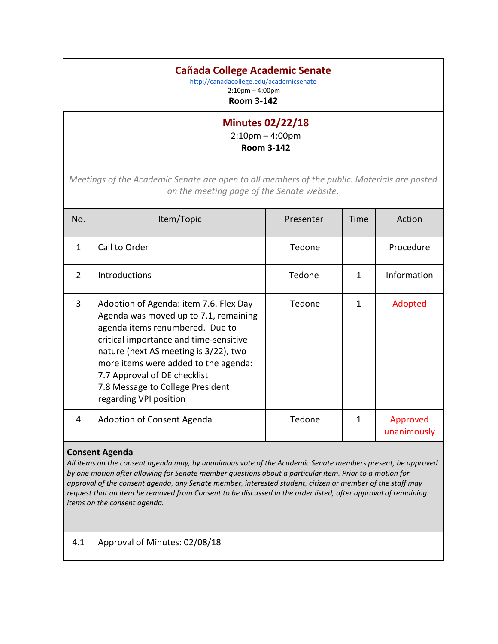## **Cañada College Academic Senate**

<http://canadacollege.edu/academicsenate>

2:10pm – 4:00pm **Room 3-142**

## **Minutes 02/22/18**

2:10pm – 4:00pm **Room 3-142**

*Meetings of the Academic Senate are open to all members of the public. Materials are posted on the meeting page of the Senate website.*

| No.            | Item/Topic                                                                                                                                                                                                                                                                                                                                  | Presenter | Time | Action                  |
|----------------|---------------------------------------------------------------------------------------------------------------------------------------------------------------------------------------------------------------------------------------------------------------------------------------------------------------------------------------------|-----------|------|-------------------------|
| 1              | Call to Order                                                                                                                                                                                                                                                                                                                               | Tedone    |      | Procedure               |
| $\mathcal{P}$  | <b>Introductions</b>                                                                                                                                                                                                                                                                                                                        | Tedone    | 1    | Information             |
| $\overline{3}$ | Adoption of Agenda: item 7.6. Flex Day<br>Agenda was moved up to 7.1, remaining<br>agenda items renumbered. Due to<br>critical importance and time-sensitive<br>nature (next AS meeting is 3/22), two<br>more items were added to the agenda:<br>7.7 Approval of DE checklist<br>7.8 Message to College President<br>regarding VPI position | Tedone    | 1    | Adopted                 |
| 4              | Adoption of Consent Agenda                                                                                                                                                                                                                                                                                                                  | Tedone    | 1    | Approved<br>unanimously |

## **Consent Agenda**

*All items on the consent agenda may, by unanimous vote of the Academic Senate members present, be approved by one motion after allowing for Senate member questions about a particular item. Prior to a motion for approval of the consent agenda, any Senate member, interested student, citizen or member of the staff may request that an item be removed from Consent to be discussed in the order listed, after approval of remaining items on the consent agenda.*

4.1 Approval of Minutes: 02/08/18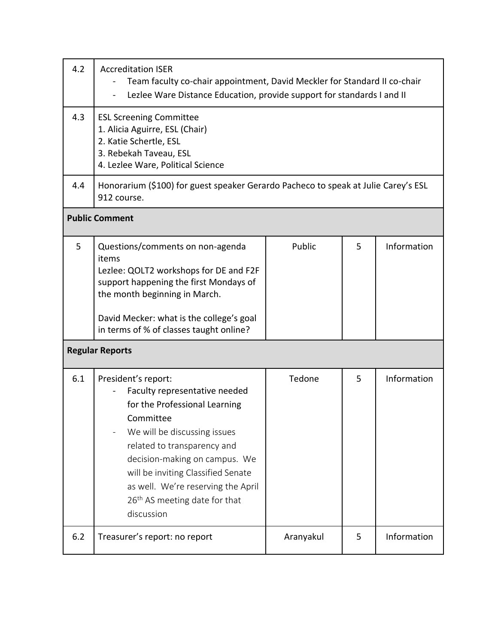| 4.2 | <b>Accreditation ISER</b><br>Team faculty co-chair appointment, David Meckler for Standard II co-chair<br>Lezlee Ware Distance Education, provide support for standards I and II                                                                                                                                                          |           |   |             |  |
|-----|-------------------------------------------------------------------------------------------------------------------------------------------------------------------------------------------------------------------------------------------------------------------------------------------------------------------------------------------|-----------|---|-------------|--|
| 4.3 | <b>ESL Screening Committee</b><br>1. Alicia Aguirre, ESL (Chair)<br>2. Katie Schertle, ESL<br>3. Rebekah Taveau, ESL<br>4. Lezlee Ware, Political Science                                                                                                                                                                                 |           |   |             |  |
| 4.4 | Honorarium (\$100) for guest speaker Gerardo Pacheco to speak at Julie Carey's ESL<br>912 course.                                                                                                                                                                                                                                         |           |   |             |  |
|     | <b>Public Comment</b>                                                                                                                                                                                                                                                                                                                     |           |   |             |  |
| 5   | Questions/comments on non-agenda<br>items<br>Lezlee: QOLT2 workshops for DE and F2F<br>support happening the first Mondays of<br>the month beginning in March.<br>David Mecker: what is the college's goal<br>in terms of % of classes taught online?                                                                                     | Public    | 5 | Information |  |
|     | <b>Regular Reports</b>                                                                                                                                                                                                                                                                                                                    |           |   |             |  |
| 6.1 | President's report:<br>Faculty representative needed<br>for the Professional Learning<br>Committee<br>We will be discussing issues<br>related to transparency and<br>decision-making on campus. We<br>will be inviting Classified Senate<br>as well. We're reserving the April<br>26 <sup>th</sup> AS meeting date for that<br>discussion | Tedone    | 5 | Information |  |
| 6.2 | Treasurer's report: no report                                                                                                                                                                                                                                                                                                             | Aranyakul | 5 | Information |  |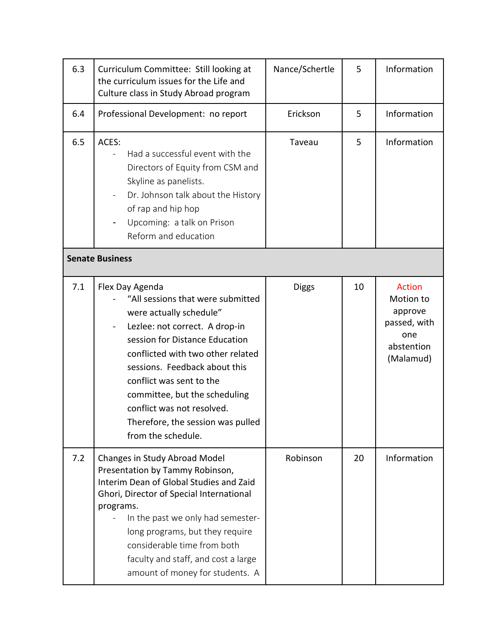| 6.3 | Curriculum Committee: Still looking at<br>the curriculum issues for the Life and<br>Culture class in Study Abroad program                                                                                                                                                                                                                                                       | Nance/Schertle | 5  | Information                                                                             |
|-----|---------------------------------------------------------------------------------------------------------------------------------------------------------------------------------------------------------------------------------------------------------------------------------------------------------------------------------------------------------------------------------|----------------|----|-----------------------------------------------------------------------------------------|
| 6.4 | Professional Development: no report                                                                                                                                                                                                                                                                                                                                             | Erickson       | 5  | Information                                                                             |
| 6.5 | ACES:<br>Had a successful event with the<br>Directors of Equity from CSM and<br>Skyline as panelists.<br>Dr. Johnson talk about the History<br>of rap and hip hop<br>Upcoming: a talk on Prison<br>Reform and education                                                                                                                                                         | Taveau         | 5  | Information                                                                             |
|     | <b>Senate Business</b>                                                                                                                                                                                                                                                                                                                                                          |                |    |                                                                                         |
| 7.1 | Flex Day Agenda<br>"All sessions that were submitted<br>were actually schedule"<br>Lezlee: not correct. A drop-in<br>session for Distance Education<br>conflicted with two other related<br>sessions. Feedback about this<br>conflict was sent to the<br>committee, but the scheduling<br>conflict was not resolved.<br>Therefore, the session was pulled<br>from the schedule. | <b>Diggs</b>   | 10 | <b>Action</b><br>Motion to<br>approve<br>passed, with<br>one<br>abstention<br>(Malamud) |
| 7.2 | Changes in Study Abroad Model<br>Presentation by Tammy Robinson,<br>Interim Dean of Global Studies and Zaid<br>Ghori, Director of Special International<br>programs.<br>In the past we only had semester-<br>long programs, but they require<br>considerable time from both<br>faculty and staff, and cost a large<br>amount of money for students. A                           | Robinson       | 20 | Information                                                                             |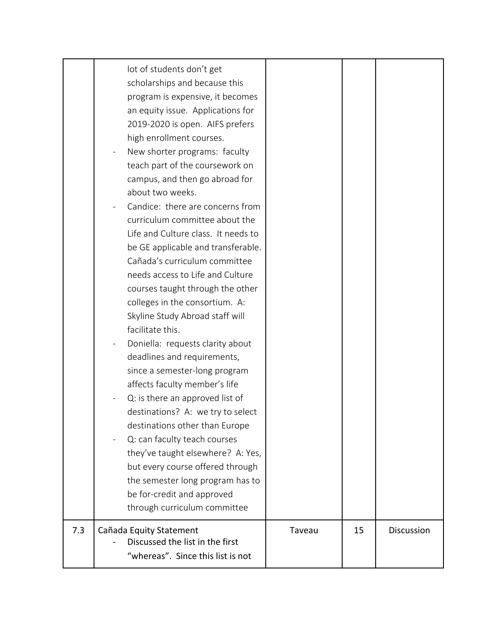|     | 2019-2020 is open. AIFS prefers<br>high enrollment courses.<br>New shorter programs: faculty<br>teach part of the coursework on<br>campus, and then go abroad for<br>about two weeks.<br>Candice: there are concerns from<br>curriculum committee about the<br>Life and Culture class. It needs to<br>be GE applicable and transferable.<br>Cañada's curriculum committee<br>needs access to Life and Culture<br>courses taught through the other<br>colleges in the consortium. A:<br>Skyline Study Abroad staff will<br>facilitate this.<br>Doniella: requests clarity about<br>deadlines and requirements,<br>since a semester-long program<br>affects faculty member's life<br>Q: is there an approved list of<br>destinations? A: we try to select<br>destinations other than Europe<br>Q: can faculty teach courses<br>they've taught elsewhere? A: Yes,<br>but every course offered through<br>the semester long program has to<br>be for-credit and approved<br>through curriculum committee |        |    |            |
|-----|------------------------------------------------------------------------------------------------------------------------------------------------------------------------------------------------------------------------------------------------------------------------------------------------------------------------------------------------------------------------------------------------------------------------------------------------------------------------------------------------------------------------------------------------------------------------------------------------------------------------------------------------------------------------------------------------------------------------------------------------------------------------------------------------------------------------------------------------------------------------------------------------------------------------------------------------------------------------------------------------------|--------|----|------------|
| 7.3 | Cañada Equity Statement<br>Discussed the list in the first<br>"whereas". Since this list is not                                                                                                                                                                                                                                                                                                                                                                                                                                                                                                                                                                                                                                                                                                                                                                                                                                                                                                      | Taveau | 15 | Discussion |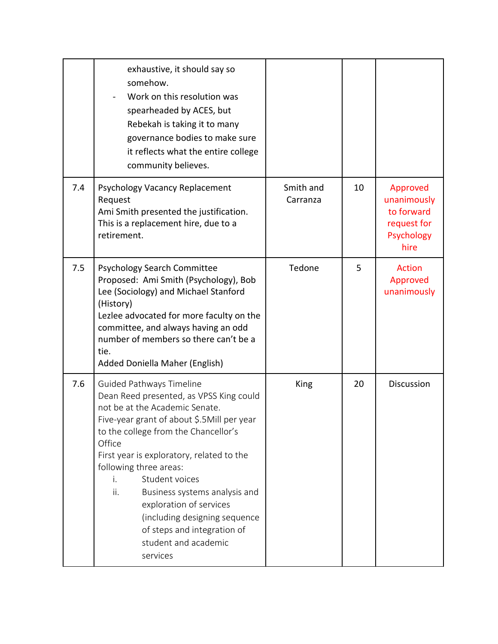|     | exhaustive, it should say so<br>somehow.<br>Work on this resolution was<br>spearheaded by ACES, but<br>Rebekah is taking it to many<br>governance bodies to make sure<br>it reflects what the entire college<br>community believes.                                                                                                                                                                                                                                                |                       |    |                                                                            |
|-----|------------------------------------------------------------------------------------------------------------------------------------------------------------------------------------------------------------------------------------------------------------------------------------------------------------------------------------------------------------------------------------------------------------------------------------------------------------------------------------|-----------------------|----|----------------------------------------------------------------------------|
| 7.4 | Psychology Vacancy Replacement<br>Request<br>Ami Smith presented the justification.<br>This is a replacement hire, due to a<br>retirement.                                                                                                                                                                                                                                                                                                                                         | Smith and<br>Carranza | 10 | Approved<br>unanimously<br>to forward<br>request for<br>Psychology<br>hire |
| 7.5 | <b>Psychology Search Committee</b><br>Proposed: Ami Smith (Psychology), Bob<br>Lee (Sociology) and Michael Stanford<br>(History)<br>Lezlee advocated for more faculty on the<br>committee, and always having an odd<br>number of members so there can't be a<br>tie.<br>Added Doniella Maher (English)                                                                                                                                                                             | Tedone                | 5  | <b>Action</b><br>Approved<br>unanimously                                   |
| 7.6 | <b>Guided Pathways Timeline</b><br>Dean Reed presented, as VPSS King could<br>not be at the Academic Senate.<br>Five-year grant of about \$.5Mill per year<br>to the college from the Chancellor's<br>Office<br>First year is exploratory, related to the<br>following three areas:<br>Student voices<br>i.<br>ii.<br>Business systems analysis and<br>exploration of services<br>(including designing sequence<br>of steps and integration of<br>student and academic<br>services | King                  | 20 | <b>Discussion</b>                                                          |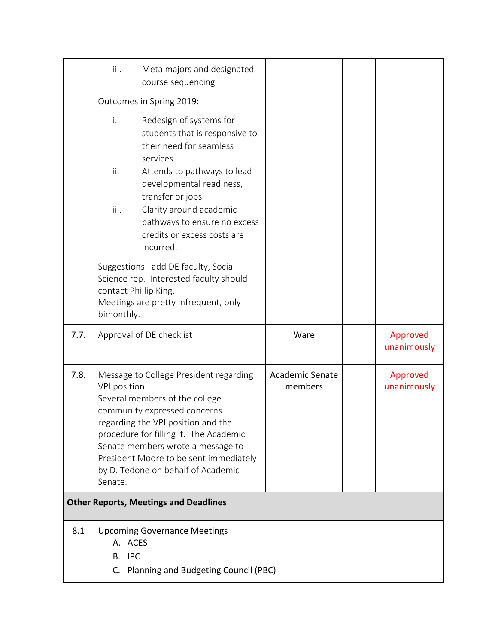|      | iii.                           | Meta majors and designated<br>course sequencing                                                                                                                                                                                                                                                               |                            |                         |
|------|--------------------------------|---------------------------------------------------------------------------------------------------------------------------------------------------------------------------------------------------------------------------------------------------------------------------------------------------------------|----------------------------|-------------------------|
|      | Outcomes in Spring 2019:       |                                                                                                                                                                                                                                                                                                               |                            |                         |
|      | i.<br>ii.<br>iii.              | Redesign of systems for<br>students that is responsive to<br>their need for seamless<br>services<br>Attends to pathways to lead<br>developmental readiness,<br>transfer or jobs<br>Clarity around academic<br>pathways to ensure no excess<br>credits or excess costs are<br>incurred.                        |                            |                         |
|      | bimonthly.                     | Suggestions: add DE faculty, Social<br>Science rep. Interested faculty should<br>contact Phillip King.<br>Meetings are pretty infrequent, only                                                                                                                                                                |                            |                         |
|      | Approval of DE checklist       |                                                                                                                                                                                                                                                                                                               |                            |                         |
| 7.7. |                                |                                                                                                                                                                                                                                                                                                               | Ware                       | Approved<br>unanimously |
| 7.8. | <b>VPI</b> position<br>Senate. | Message to College President regarding<br>Several members of the college<br>community expressed concerns<br>regarding the VPI position and the<br>procedure for filling it. The Academic<br>Senate members wrote a message to<br>President Moore to be sent immediately<br>by D. Tedone on behalf of Academic | Academic Senate<br>members | Approved<br>unanimously |
|      |                                | <b>Other Reports, Meetings and Deadlines</b>                                                                                                                                                                                                                                                                  |                            |                         |